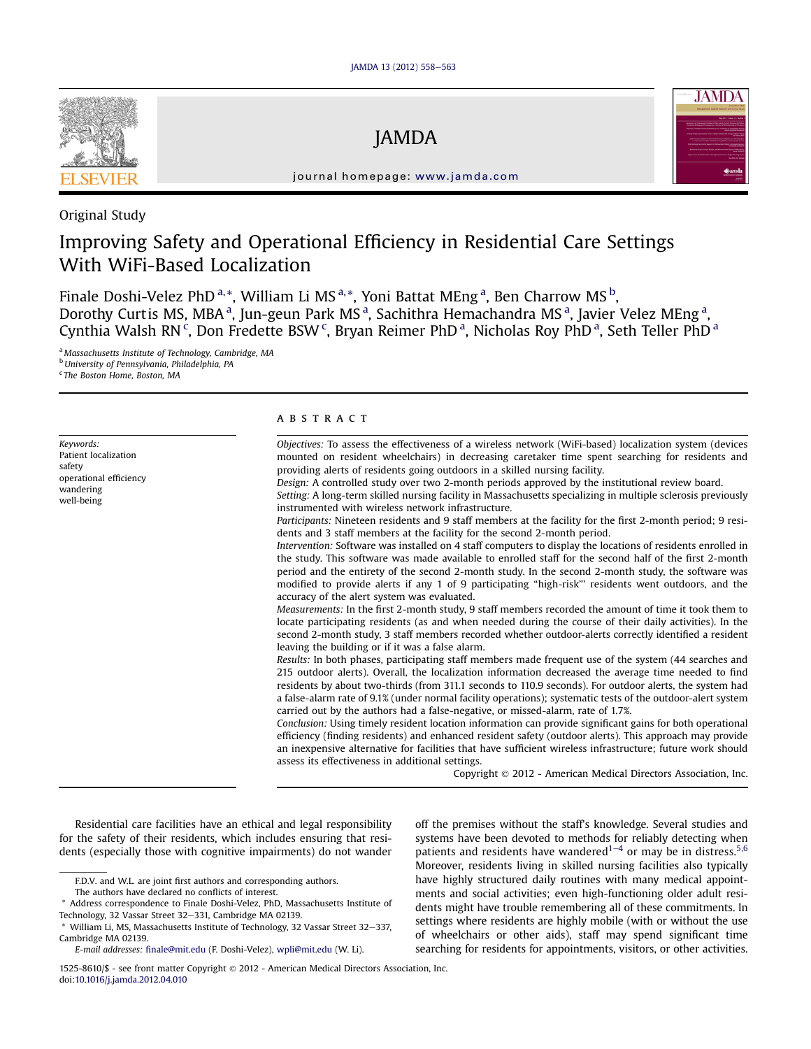JAMDA 13 (2012) 558-563



JAMDA



journal homepage: www.jamda.com

# Original Study

# Improving Safety and Operational Efficiency in Residential Care Settings With WiFi-Based Localization

Finale Doshi-Velez PhD<sup>a,\*</sup>, William Li MS<sup>a,\*</sup>, Yoni Battat MEng<sup>a</sup>, Ben Charrow MS<sup>b</sup>, Dorothy Curtis MS, MBA<sup>a</sup>, Jun-geun Park MS<sup>a</sup>, Sachithra Hemachandra MS<sup>a</sup>, Javier Velez MEng<sup>a</sup>, Cynthia Walsh RN<sup>c</sup>, Don Fredette BSW<sup>c</sup>, Bryan Reimer PhD<sup>a</sup>, Nicholas Roy PhD<sup>a</sup>, Seth Teller PhD<sup>a</sup>

<sup>a</sup> Massachusetts Institute of Technology, Cambridge, MA

<sup>b</sup> University of Pennsylvania, Philadelphia, PA

<sup>c</sup> The Boston Home, Boston, MA

Keywords: Patient localization safety operational efficiency wandering well-being

### **ABSTRACT**

Objectives: To assess the effectiveness of a wireless network (WiFi-based) localization system (devices mounted on resident wheelchairs) in decreasing caretaker time spent searching for residents and providing alerts of residents going outdoors in a skilled nursing facility. Design: A controlled study over two 2-month periods approved by the institutional review board. Setting: A long-term skilled nursing facility in Massachusetts specializing in multiple sclerosis previously instrumented with wireless network infrastructure. Participants: Nineteen residents and 9 staff members at the facility for the first 2-month period; 9 residents and 3 staff members at the facility for the second 2-month period. Intervention: Software was installed on 4 staff computers to display the locations of residents enrolled in the study. This software was made available to enrolled staff for the second half of the first 2-month period and the entirety of the second 2-month study. In the second 2-month study, the software was modified to provide alerts if any 1 of 9 participating "high-risk"' residents went outdoors, and the accuracy of the alert system was evaluated. Measurements: In the first 2-month study, 9 staff members recorded the amount of time it took them to locate participating residents (as and when needed during the course of their daily activities). In the second 2-month study, 3 staff members recorded whether outdoor-alerts correctly identified a resident leaving the building or if it was a false alarm. Results: In both phases, participating staff members made frequent use of the system (44 searches and 215 outdoor alerts). Overall, the localization information decreased the average time needed to find residents by about two-thirds (from 311.1 seconds to 110.9 seconds). For outdoor alerts, the system had a false-alarm rate of 9.1% (under normal facility operations); systematic tests of the outdoor-alert system carried out by the authors had a false-negative, or missed-alarm, rate of 1.7%. Conclusion: Using timely resident location information can provide significant gains for both operational

efficiency (finding residents) and enhanced resident safety (outdoor alerts). This approach may provide an inexpensive alternative for facilities that have sufficient wireless infrastructure; future work should assess its effectiveness in additional settings.

Copyright © 2012 - American Medical Directors Association, Inc.

Residential care facilities have an ethical and legal responsibility for the safety of their residents, which includes ensuring that residents (especially those with cognitive impairments) do not wander

F.D.V. and W.L. are joint first authors and corresponding authors.

off the premises without the staff's knowledge. Several studies and systems have been devoted to methods for reliably detecting when patients and residents have wandered<sup>1-4</sup> or may be in distress.<sup>5,6</sup> Moreover, residents living in skilled nursing facilities also typically have highly structured daily routines with many medical appointments and social activities; even high-functioning older adult residents might have trouble remembering all of these commitments. In settings where residents are highly mobile (with or without the use of wheelchairs or other aids), staff may spend significant time searching for residents for appointments, visitors, or other activities.

The authors have declared no conflicts of interest.

Address correspondence to Finale Doshi-Velez, PhD, Massachusetts Institute of Technology, 32 Vassar Street 32-331, Cambridge MA 02139.

William Li, MS, Massachusetts Institute of Technology, 32 Vassar Street 32-337, Cambridge MA 02139.

E-mail addresses: finale@mit.edu (F. Doshi-Velez), wpli@mit.edu (W. Li).

<sup>1525-8610/\$ -</sup> see front matter Copyright © 2012 - American Medical Directors Association, Inc. doi:10.1016/j.jamda.2012.04.010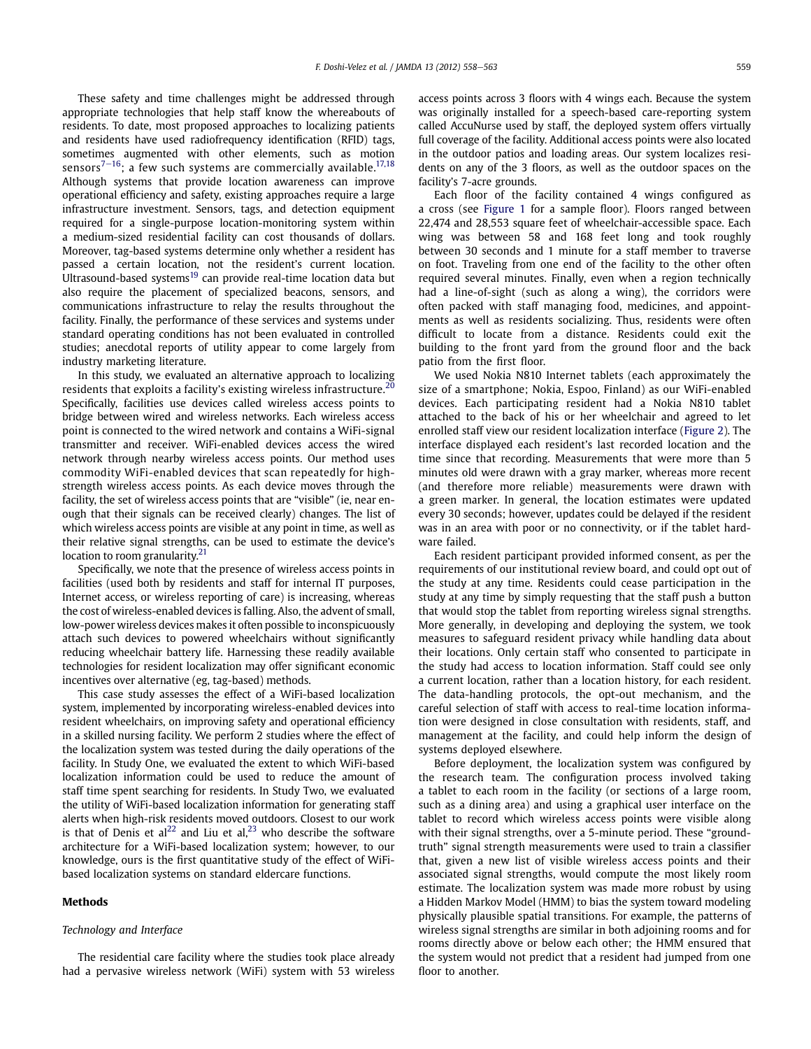These safety and time challenges might be addressed through appropriate technologies that help staff know the whereabouts of residents. To date, most proposed approaches to localizing patients and residents have used radiofrequency identification (RFID) tags, sometimes augmented with other elements, such as motion sensors<sup>7-16</sup>; a few such systems are commercially available.<sup>17,18</sup> Although systems that provide location awareness can improve operational efficiency and safety, existing approaches require a large infrastructure investment. Sensors, tags, and detection equipment required for a single-purpose location-monitoring system within a medium-sized residential facility can cost thousands of dollars. Moreover, tag-based systems determine only whether a resident has passed a certain location, not the resident's current location. Ultrasound-based systems $^{19}$  can provide real-time location data but also require the placement of specialized beacons, sensors, and communications infrastructure to relay the results throughout the facility. Finally, the performance of these services and systems under standard operating conditions has not been evaluated in controlled studies; anecdotal reports of utility appear to come largely from industry marketing literature.

In this study, we evaluated an alternative approach to localizing residents that exploits a facility's existing wireless infrastructure.<sup>20</sup> Specifically, facilities use devices called wireless access points to bridge between wired and wireless networks. Each wireless access point is connected to the wired network and contains a WiFi-signal transmitter and receiver. WiFi-enabled devices access the wired network through nearby wireless access points. Our method uses commodity WiFi-enabled devices that scan repeatedly for highstrength wireless access points. As each device moves through the facility, the set of wireless access points that are "visible" (ie, near enough that their signals can be received clearly) changes. The list of which wireless access points are visible at any point in time, as well as their relative signal strengths, can be used to estimate the device's location to room granularity. $21$ 

Specifically, we note that the presence of wireless access points in facilities (used both by residents and staff for internal IT purposes, Internet access, or wireless reporting of care) is increasing, whereas the cost of wireless-enabled devices is falling. Also, the advent of small, low-power wireless devices makes it often possible to inconspicuously attach such devices to powered wheelchairs without significantly reducing wheelchair battery life. Harnessing these readily available technologies for resident localization may offer significant economic incentives over alternative (eg, tag-based) methods.

This case study assesses the effect of a WiFi-based localization system, implemented by incorporating wireless-enabled devices into resident wheelchairs, on improving safety and operational efficiency in a skilled nursing facility. We perform 2 studies where the effect of the localization system was tested during the daily operations of the facility. In Study One, we evaluated the extent to which WiFi-based localization information could be used to reduce the amount of staff time spent searching for residents. In Study Two, we evaluated the utility of WiFi-based localization information for generating staff alerts when high-risk residents moved outdoors. Closest to our work is that of Denis et al<sup>22</sup> and Liu et al,<sup>23</sup> who describe the software architecture for a WiFi-based localization system; however, to our knowledge, ours is the first quantitative study of the effect of WiFibased localization systems on standard eldercare functions.

# Methods

## Technology and Interface

The residential care facility where the studies took place already had a pervasive wireless network (WiFi) system with 53 wireless access points across 3 floors with 4 wings each. Because the system was originally installed for a speech-based care-reporting system called AccuNurse used by staff, the deployed system offers virtually full coverage of the facility. Additional access points were also located in the outdoor patios and loading areas. Our system localizes residents on any of the 3 floors, as well as the outdoor spaces on the facility's 7-acre grounds.

Each floor of the facility contained 4 wings configured as a cross (see Figure 1 for a sample floor). Floors ranged between 22,474 and 28,553 square feet of wheelchair-accessible space. Each wing was between 58 and 168 feet long and took roughly between 30 seconds and 1 minute for a staff member to traverse on foot. Traveling from one end of the facility to the other often required several minutes. Finally, even when a region technically had a line-of-sight (such as along a wing), the corridors were often packed with staff managing food, medicines, and appointments as well as residents socializing. Thus, residents were often difficult to locate from a distance. Residents could exit the building to the front yard from the ground floor and the back patio from the first floor.

We used Nokia N810 Internet tablets (each approximately the size of a smartphone; Nokia, Espoo, Finland) as our WiFi-enabled devices. Each participating resident had a Nokia N810 tablet attached to the back of his or her wheelchair and agreed to let enrolled staff view our resident localization interface (Figure 2). The interface displayed each resident's last recorded location and the time since that recording. Measurements that were more than 5 minutes old were drawn with a gray marker, whereas more recent (and therefore more reliable) measurements were drawn with a green marker. In general, the location estimates were updated every 30 seconds; however, updates could be delayed if the resident was in an area with poor or no connectivity, or if the tablet hardware failed.

Each resident participant provided informed consent, as per the requirements of our institutional review board, and could opt out of the study at any time. Residents could cease participation in the study at any time by simply requesting that the staff push a button that would stop the tablet from reporting wireless signal strengths. More generally, in developing and deploying the system, we took measures to safeguard resident privacy while handling data about their locations. Only certain staff who consented to participate in the study had access to location information. Staff could see only a current location, rather than a location history, for each resident. The data-handling protocols, the opt-out mechanism, and the careful selection of staff with access to real-time location information were designed in close consultation with residents, staff, and management at the facility, and could help inform the design of systems deployed elsewhere.

Before deployment, the localization system was configured by the research team. The configuration process involved taking a tablet to each room in the facility (or sections of a large room, such as a dining area) and using a graphical user interface on the tablet to record which wireless access points were visible along with their signal strengths, over a 5-minute period. These "groundtruth" signal strength measurements were used to train a classifier that, given a new list of visible wireless access points and their associated signal strengths, would compute the most likely room estimate. The localization system was made more robust by using a Hidden Markov Model (HMM) to bias the system toward modeling physically plausible spatial transitions. For example, the patterns of wireless signal strengths are similar in both adjoining rooms and for rooms directly above or below each other; the HMM ensured that the system would not predict that a resident had jumped from one floor to another.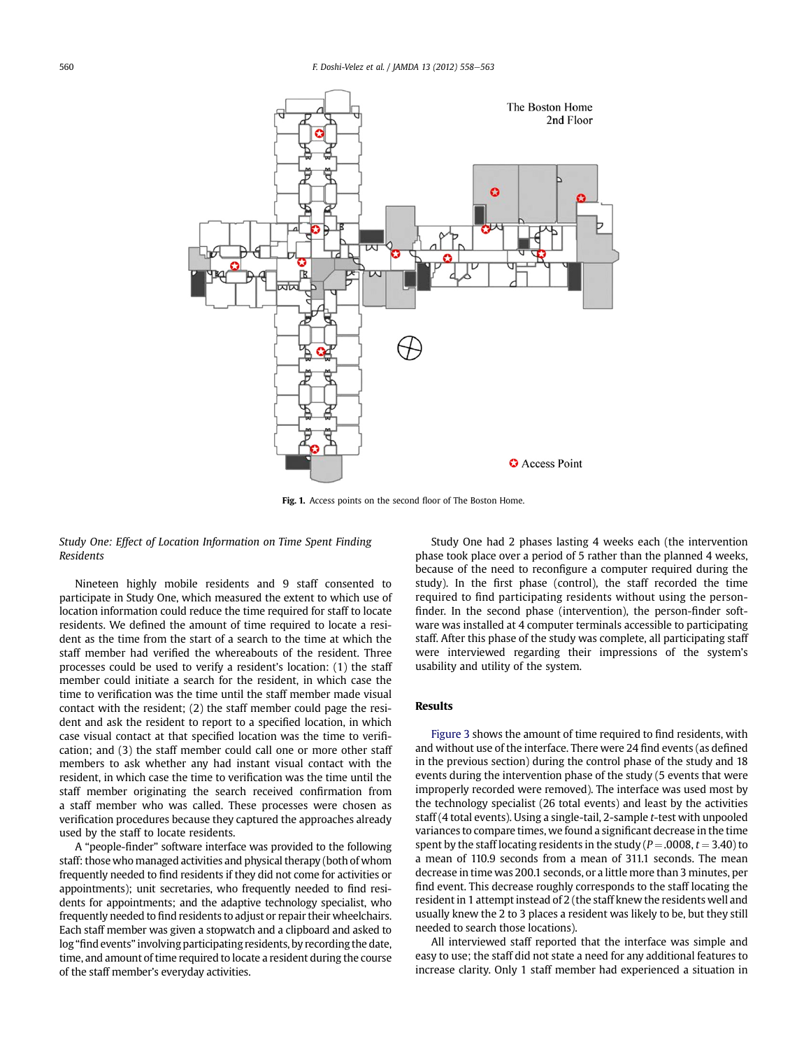

Fig. 1. Access points on the second floor of The Boston Home.

Study One: Effect of Location Information on Time Spent Finding Residents

Nineteen highly mobile residents and 9 staff consented to participate in Study One, which measured the extent to which use of location information could reduce the time required for staff to locate residents. We defined the amount of time required to locate a resident as the time from the start of a search to the time at which the staff member had verified the whereabouts of the resident. Three processes could be used to verify a resident's location: (1) the staff member could initiate a search for the resident, in which case the time to verification was the time until the staff member made visual contact with the resident; (2) the staff member could page the resident and ask the resident to report to a specified location, in which case visual contact at that specified location was the time to verification; and (3) the staff member could call one or more other staff members to ask whether any had instant visual contact with the resident, in which case the time to verification was the time until the staff member originating the search received confirmation from a staff member who was called. These processes were chosen as verification procedures because they captured the approaches already used by the staff to locate residents.

A "people-finder" software interface was provided to the following staff: those who managed activities and physical therapy (both of whom frequently needed to find residents if they did not come for activities or appointments); unit secretaries, who frequently needed to find residents for appointments; and the adaptive technology specialist, who frequently needed to find residents to adjust or repair their wheelchairs. Each staff member was given a stopwatch and a clipboard and asked to log "find events" involving participating residents, by recording the date, time, and amount of time required to locate a resident during the course of the staff member's everyday activities.

Study One had 2 phases lasting 4 weeks each (the intervention phase took place over a period of 5 rather than the planned 4 weeks, because of the need to reconfigure a computer required during the study). In the first phase (control), the staff recorded the time required to find participating residents without using the personfinder. In the second phase (intervention), the person-finder software was installed at 4 computer terminals accessible to participating staff. After this phase of the study was complete, all participating staff were interviewed regarding their impressions of the system's usability and utility of the system.

# Results

Figure 3 shows the amount of time required to find residents, with and without use of the interface. There were 24 find events (as defined in the previous section) during the control phase of the study and 18 events during the intervention phase of the study (5 events that were improperly recorded were removed). The interface was used most by the technology specialist (26 total events) and least by the activities staff (4 total events). Using a single-tail, 2-sample t-test with unpooled variances to compare times, we found a significant decrease in the time spent by the staff locating residents in the study ( $P = .0008$ ,  $t = 3.40$ ) to a mean of 110.9 seconds from a mean of 311.1 seconds. The mean decrease in time was 200.1 seconds, or a little more than 3 minutes, per find event. This decrease roughly corresponds to the staff locating the resident in 1 attempt instead of 2 (the staff knew the residents well and usually knew the 2 to 3 places a resident was likely to be, but they still needed to search those locations).

All interviewed staff reported that the interface was simple and easy to use; the staff did not state a need for any additional features to increase clarity. Only 1 staff member had experienced a situation in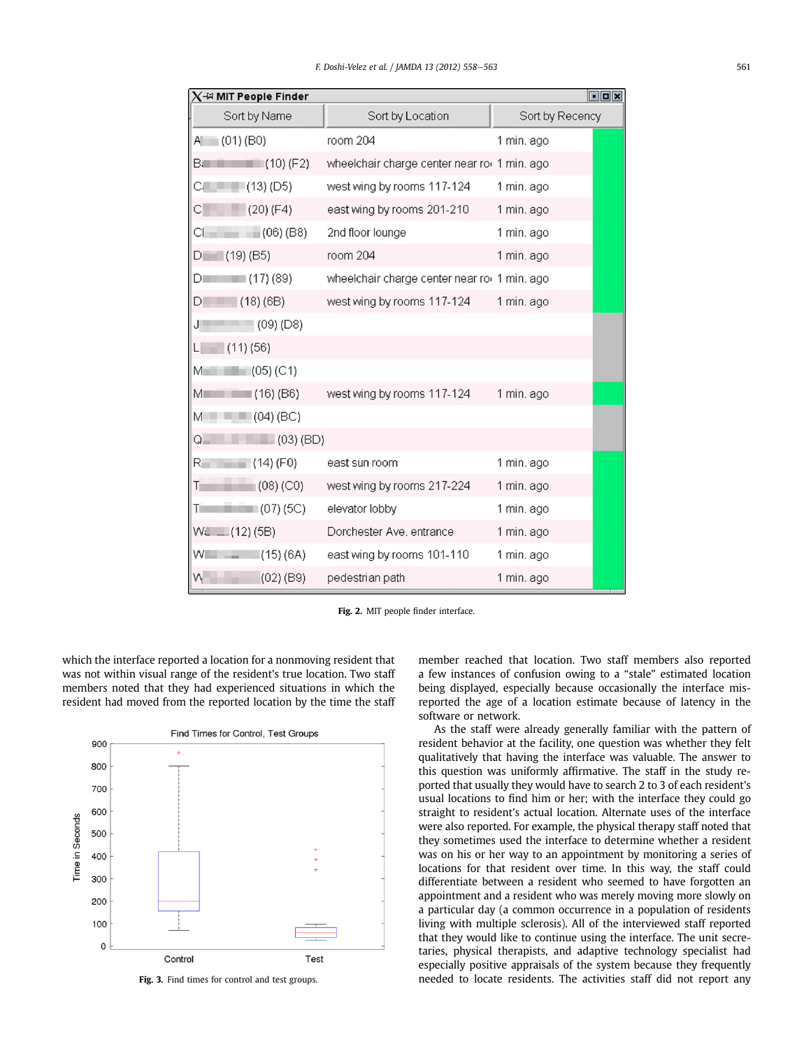| $\Box$ $\Box$ x<br>$\chi$ -¤ MIT People Finder |                  |                                             |                 |  |  |
|------------------------------------------------|------------------|---------------------------------------------|-----------------|--|--|
|                                                | Sort by Name     | Sort by Location                            | Sort by Recency |  |  |
| A                                              | $(01)$ (B0)      | room 204                                    | 1 min. ago      |  |  |
| B:                                             | (10) (F2)        | wheelchair charge center near ro 1 min. ago |                 |  |  |
| C:                                             | $(13)$ (D5)      | west wing by rooms 117-124                  | 1 min. ago      |  |  |
| С                                              | $(20)$ (F4)      | east wing by rooms 201-210                  | 1 min. ago      |  |  |
| СI                                             | $(06)$ (B8)      | 2nd floor lounge                            | 1 min. ago      |  |  |
| DI                                             | $(19)$ (B5)      | room 204                                    | 1 min. ago      |  |  |
| D.                                             | (17)(89)         | wheelchair charge center near ro 1 min. ago |                 |  |  |
| D                                              | (18)(6B)         | west wing by rooms 117-124                  | 1 min. ago      |  |  |
| J                                              | $(09)$ $(D8)$    |                                             |                 |  |  |
| LI                                             | (11)(56)         |                                             |                 |  |  |
| М                                              | (05)(C1)         |                                             |                 |  |  |
| М                                              | $(16)$ (B6)      | west wing by rooms 117-124                  | 1 min. ago      |  |  |
| М                                              | $(04)$ (BC)      |                                             |                 |  |  |
| Q                                              | $\Box$ (03) (BD) |                                             |                 |  |  |
| R.                                             | $(14)$ (F0)      | east sun room                               | 1 min. ago      |  |  |
| Т                                              | (08)(C0)         | west wing by rooms 217-224                  | 1 min. ago      |  |  |
| T                                              | (07)(5C)         | elevator lobby                              | 1 min. ago      |  |  |
|                                                | $W = (12) (5B)$  | Dorchester Ave, entrance                    | 1 min. ago      |  |  |
| WΙ                                             | (15) (6A)        | east wing by rooms 101-110                  | 1 min. ago      |  |  |
| W                                              | $(02)$ (B9)      | pedestrian path                             | 1 min. ago      |  |  |

Fig. 2. MIT people finder interface.

which the interface reported a location for a nonmoving resident that was not within visual range of the resident's true location. Two staff members noted that they had experienced situations in which the resident had moved from the reported location by the time the staff



Fig. 3. Find times for control and test groups.

member reached that location. Two staff members also reported a few instances of confusion owing to a "stale" estimated location being displayed, especially because occasionally the interface misreported the age of a location estimate because of latency in the software or network.

As the staff were already generally familiar with the pattern of resident behavior at the facility, one question was whether they felt qualitatively that having the interface was valuable. The answer to this question was uniformly affirmative. The staff in the study reported that usually they would have to search 2 to 3 of each resident's usual locations to find him or her; with the interface they could go straight to resident's actual location. Alternate uses of the interface were also reported. For example, the physical therapy staff noted that they sometimes used the interface to determine whether a resident was on his or her way to an appointment by monitoring a series of locations for that resident over time. In this way, the staff could differentiate between a resident who seemed to have forgotten an appointment and a resident who was merely moving more slowly on a particular day (a common occurrence in a population of residents living with multiple sclerosis). All of the interviewed staff reported that they would like to continue using the interface. The unit secretaries, physical therapists, and adaptive technology specialist had especially positive appraisals of the system because they frequently needed to locate residents. The activities staff did not report any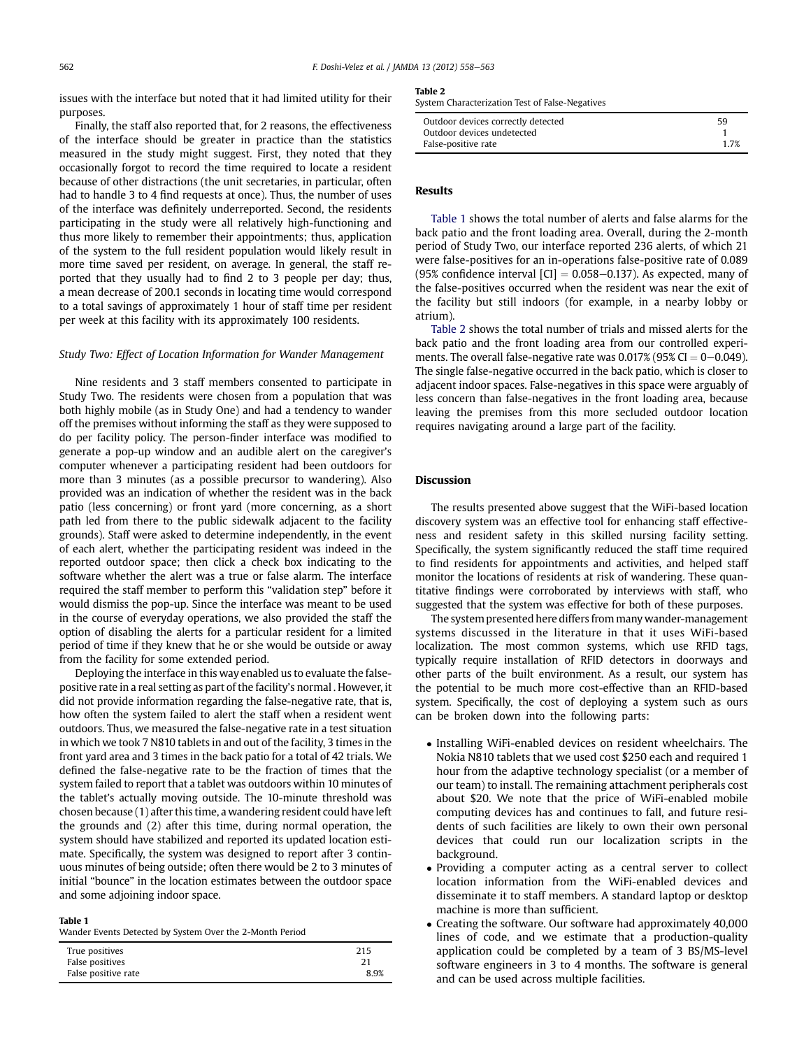issues with the interface but noted that it had limited utility for their purposes.

Finally, the staff also reported that, for 2 reasons, the effectiveness of the interface should be greater in practice than the statistics measured in the study might suggest. First, they noted that they occasionally forgot to record the time required to locate a resident because of other distractions (the unit secretaries, in particular, often had to handle 3 to 4 find requests at once). Thus, the number of uses of the interface was definitely underreported. Second, the residents participating in the study were all relatively high-functioning and thus more likely to remember their appointments; thus, application of the system to the full resident population would likely result in more time saved per resident, on average. In general, the staff reported that they usually had to find 2 to 3 people per day; thus, a mean decrease of 200.1 seconds in locating time would correspond to a total savings of approximately 1 hour of staff time per resident per week at this facility with its approximately 100 residents.

## Study Two: Effect of Location Information for Wander Management

Nine residents and 3 staff members consented to participate in Study Two. The residents were chosen from a population that was both highly mobile (as in Study One) and had a tendency to wander off the premises without informing the staff as they were supposed to do per facility policy. The person-finder interface was modified to generate a pop-up window and an audible alert on the caregiver's computer whenever a participating resident had been outdoors for more than 3 minutes (as a possible precursor to wandering). Also provided was an indication of whether the resident was in the back patio (less concerning) or front yard (more concerning, as a short path led from there to the public sidewalk adjacent to the facility grounds). Staff were asked to determine independently, in the event of each alert, whether the participating resident was indeed in the reported outdoor space; then click a check box indicating to the software whether the alert was a true or false alarm. The interface required the staff member to perform this "validation step" before it would dismiss the pop-up. Since the interface was meant to be used in the course of everyday operations, we also provided the staff the option of disabling the alerts for a particular resident for a limited period of time if they knew that he or she would be outside or away from the facility for some extended period.

Deploying the interface in this way enabled us to evaluate the falsepositive rate in a real setting as part of the facility's normal . However, it did not provide information regarding the false-negative rate, that is, how often the system failed to alert the staff when a resident went outdoors. Thus, we measured the false-negative rate in a test situation in which we took 7 N810 tablets in and out of the facility, 3 times in the front yard area and 3 times in the back patio for a total of 42 trials. We defined the false-negative rate to be the fraction of times that the system failed to report that a tablet was outdoors within 10 minutes of the tablet's actually moving outside. The 10-minute threshold was chosen because (1) after this time, a wandering resident could have left the grounds and (2) after this time, during normal operation, the system should have stabilized and reported its updated location estimate. Specifically, the system was designed to report after 3 continuous minutes of being outside; often there would be 2 to 3 minutes of initial "bounce" in the location estimates between the outdoor space and some adjoining indoor space.

#### Table 1

Wander Events Detected by System Over the 2-Month Period

| True positives      | 215  |
|---------------------|------|
| False positives     | 21   |
| False positive rate | 8.9% |

#### Table 2

System Characterization Test of False-Negatives

| Outdoor devices correctly detected | 59   |
|------------------------------------|------|
| Outdoor devices undetected         |      |
| False-positive rate                | 1.7% |

## Results

Table 1 shows the total number of alerts and false alarms for the back patio and the front loading area. Overall, during the 2-month period of Study Two, our interface reported 236 alerts, of which 21 were false-positives for an in-operations false-positive rate of 0.089 (95% confidence interval  $\text{[CI]} = 0.058 - 0.137$ ). As expected, many of the false-positives occurred when the resident was near the exit of the facility but still indoors (for example, in a nearby lobby or atrium).

Table 2 shows the total number of trials and missed alerts for the back patio and the front loading area from our controlled experiments. The overall false-negative rate was  $0.017\%$  (95% CI = 0-0.049). The single false-negative occurred in the back patio, which is closer to adjacent indoor spaces. False-negatives in this space were arguably of less concern than false-negatives in the front loading area, because leaving the premises from this more secluded outdoor location requires navigating around a large part of the facility.

# Discussion

The results presented above suggest that the WiFi-based location discovery system was an effective tool for enhancing staff effectiveness and resident safety in this skilled nursing facility setting. Specifically, the system significantly reduced the staff time required to find residents for appointments and activities, and helped staff monitor the locations of residents at risk of wandering. These quantitative findings were corroborated by interviews with staff, who suggested that the system was effective for both of these purposes.

The system presented here differs from many wander-management systems discussed in the literature in that it uses WiFi-based localization. The most common systems, which use RFID tags, typically require installation of RFID detectors in doorways and other parts of the built environment. As a result, our system has the potential to be much more cost-effective than an RFID-based system. Specifically, the cost of deploying a system such as ours can be broken down into the following parts:

- Installing WiFi-enabled devices on resident wheelchairs. The Nokia N810 tablets that we used cost \$250 each and required 1 hour from the adaptive technology specialist (or a member of our team) to install. The remaining attachment peripherals cost about \$20. We note that the price of WiFi-enabled mobile computing devices has and continues to fall, and future residents of such facilities are likely to own their own personal devices that could run our localization scripts in the background.
- Providing a computer acting as a central server to collect location information from the WiFi-enabled devices and disseminate it to staff members. A standard laptop or desktop machine is more than sufficient.
- Creating the software. Our software had approximately 40,000 lines of code, and we estimate that a production-quality application could be completed by a team of 3 BS/MS-level software engineers in 3 to 4 months. The software is general and can be used across multiple facilities.